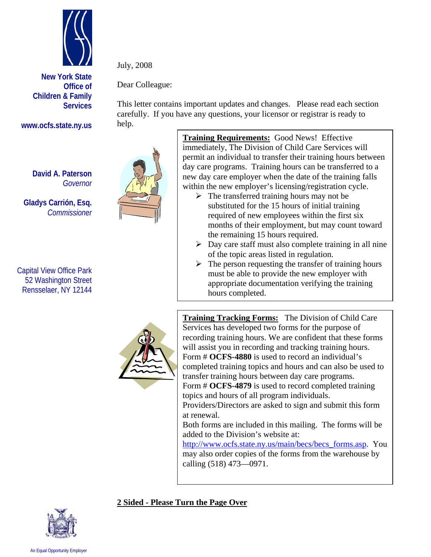

**New York State Office of Children & Family Services**

**www.ocfs.state.ny.us** 

**David A. Paterson**  *Governor*

**Gladys Carrión, Esq.**   *Commissioner* 

Capital View Office Park 52 Washington Street Rensselaer, NY 12144



July, 2008

Dear Colleague:

This letter contains important updates and changes. Please read each section carefully. If you have any questions, your licensor or registrar is ready to help.

> **Training Requirements:** Good News! Effective immediately, The Division of Child Care Services will permit an individual to transfer their training hours between day care programs. Training hours can be transferred to a new day care employer when the date of the training falls within the new employer's licensing/registration cycle.

- $\triangleright$  The transferred training hours may not be substituted for the 15 hours of initial training required of new employees within the first six months of their employment, but may count toward the remaining 15 hours required.
- $\triangleright$  Day care staff must also complete training in all nine of the topic areas listed in regulation.
- $\triangleright$  The person requesting the transfer of training hours must be able to provide the new employer with appropriate documentation verifying the training hours completed.



**Training Tracking Forms:** The Division of Child Care Services has developed two forms for the purpose of recording training hours. We are confident that these forms will assist you in recording and tracking training hours. Form # **OCFS-4880** is used to record an individual's completed training topics and hours and can also be used to transfer training hours between day care programs.

Form # **OCFS-4879** is used to record completed training topics and hours of all program individuals.

Providers/Directors are asked to sign and submit this form at renewal.

Both forms are included in this mailing. The forms will be added to the Division's website at:

http://www.ocfs.state.ny.us/main/becs/becs\_forms.asp. You may also order copies of the forms from the warehouse by calling (518) 473—0971.

## **2 Sided - Please Turn the Page Over**